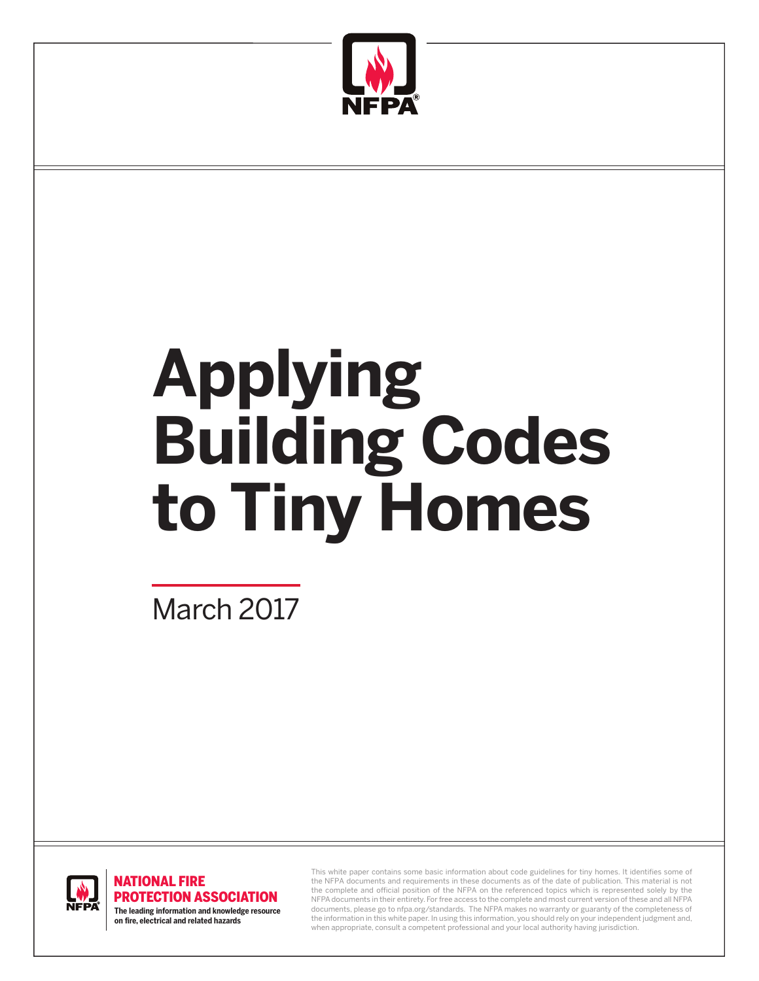

# **Applying Building Codes to Tiny Homes**

March 2017



NATIONAL FIRE PROTECTION ASSOCIATION **The leading information and knowledge resource on fire, electrical and related hazards** 

This white paper contains some basic information about code guidelines for tiny homes. It identifies some of the NFPA documents and requirements in these documents as of the date of publication. This material is not the complete and official position of the NFPA on the referenced topics which is represented solely by the NFPA documents in their entirety. For free access to the complete and most current version of these and all NFPA documents, please go to nfpa.org/standards. The NFPA makes no warranty or guaranty of the completeness of the information in this white paper. In using this information, you should rely on your independent judgment and, when appropriate, consult a competent professional and your local authority having jurisdiction.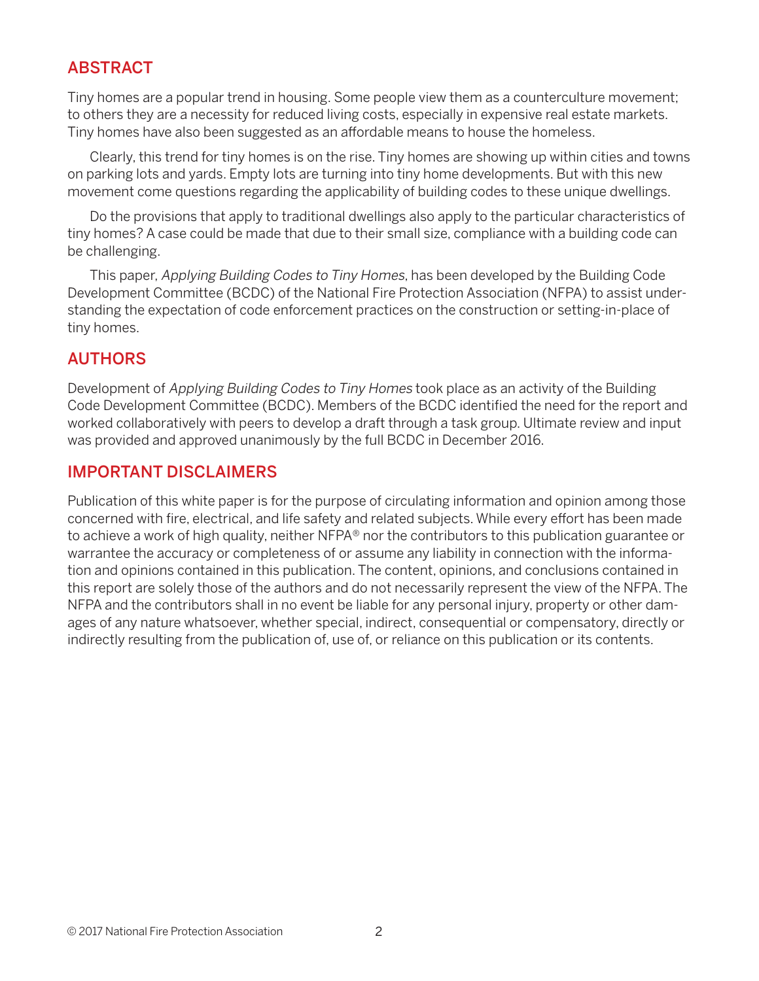# ABSTRACT

Tiny homes are a popular trend in housing. Some people view them as a counterculture movement; to others they are a necessity for reduced living costs, especially in expensive real estate markets. Tiny homes have also been suggested as an affordable means to house the homeless.

Clearly, this trend for tiny homes is on the rise. Tiny homes are showing up within cities and towns on parking lots and yards. Empty lots are turning into tiny home developments. But with this new movement come questions regarding the applicability of building codes to these unique dwellings.

Do the provisions that apply to traditional dwellings also apply to the particular characteristics of tiny homes? A case could be made that due to their small size, compliance with a building code can be challenging.

This paper, Applying Building Codes to Tiny Homes, has been developed by the Building Code Development Committee (BCDC) of the National Fire Protection Association (NFPA) to assist understanding the expectation of code enforcement practices on the construction or setting-in-place of tiny homes.

# AUTHORS

Development of Applying Building Codes to Tiny Homes took place as an activity of the Building Code Development Committee (BCDC). Members of the BCDC identified the need for the report and worked collaboratively with peers to develop a draft through a task group. Ultimate review and input was provided and approved unanimously by the full BCDC in December 2016.

## IMPORTANT DISCLAIMERS

Publication of this white paper is for the purpose of circulating information and opinion among those concerned with fire, electrical, and life safety and related subjects. While every effort has been made to achieve a work of high quality, neither NFPA® nor the contributors to this publication guarantee or warrantee the accuracy or completeness of or assume any liability in connection with the information and opinions contained in this publication. The content, opinions, and conclusions contained in this report are solely those of the authors and do not necessarily represent the view of the NFPA. The NFPA and the contributors shall in no event be liable for any personal injury, property or other damages of any nature whatsoever, whether special, indirect, consequential or compensatory, directly or indirectly resulting from the publication of, use of, or reliance on this publication or its contents.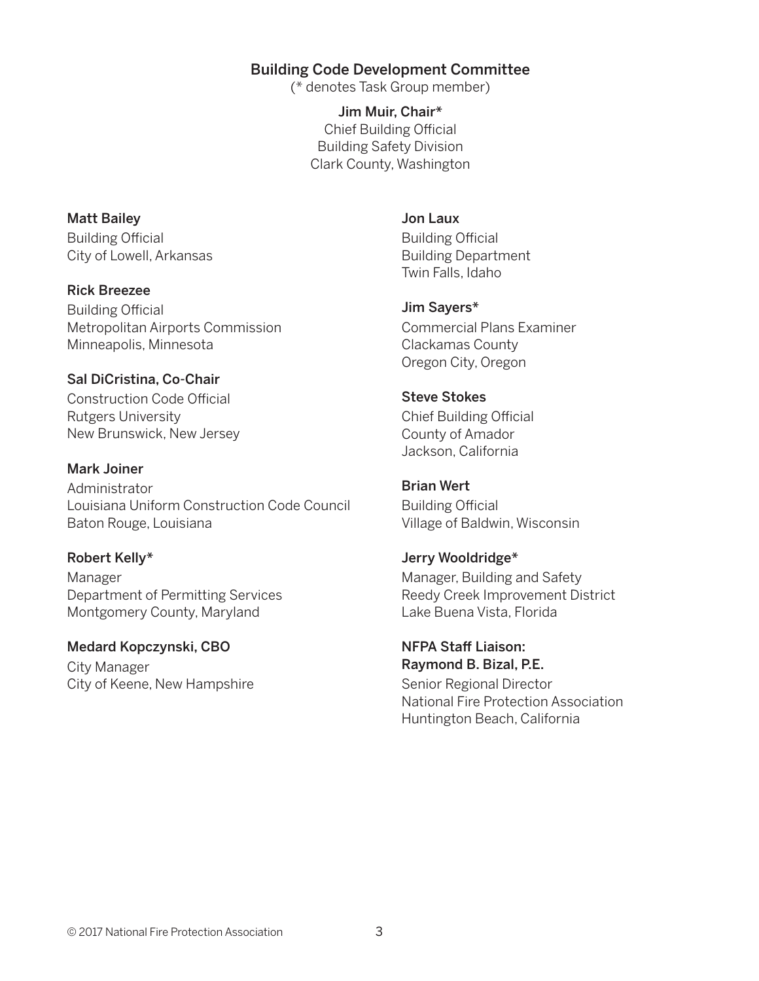### Building Code Development Committee

(\* denotes Task Group member)

Jim Muir, Chair\* Chief Building Official Building Safety Division Clark County, Washington

Matt Bailey

Building Official City of Lowell, Arkansas

#### Rick Breezee

Building Official Metropolitan Airports Commission Minneapolis, Minnesota

#### Sal DiCristina, Co-Chair

Construction Code Official Rutgers University New Brunswick, New Jersey

#### Mark Joiner

Administrator Louisiana Uniform Construction Code Council Baton Rouge, Louisiana

#### Robert Kelly\*

Manager Department of Permitting Services Montgomery County, Maryland

#### Medard Kopczynski, CBO

City Manager City of Keene, New Hampshire

#### Jon Laux

Building Official Building Department Twin Falls, Idaho

#### Jim Sayers\*

Commercial Plans Examiner Clackamas County Oregon City, Oregon

#### Steve Stokes

Chief Building Official County of Amador Jackson, California

### Brian Wert

Building Official Village of Baldwin, Wisconsin

#### Jerry Wooldridge\*

Manager, Building and Safety Reedy Creek Improvement District Lake Buena Vista, Florida

NFPA Staff Liaison: Raymond B. Bizal, P.E.

Senior Regional Director National Fire Protection Association Huntington Beach, California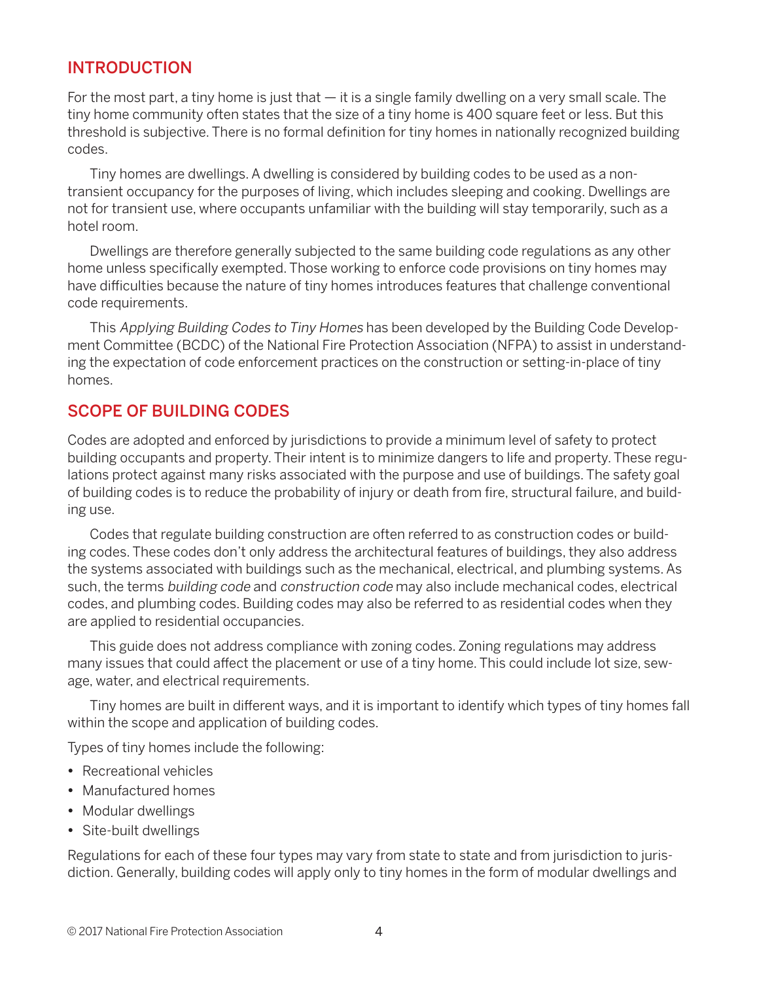## INTRODUCTION

For the most part, a tiny home is just that  $-$  it is a single family dwelling on a very small scale. The tiny home community often states that the size of a tiny home is 400 square feet or less. But this threshold is subjective. There is no formal definition for tiny homes in nationally recognized building codes.

Tiny homes are dwellings. A dwelling is considered by building codes to be used as a nontransient occupancy for the purposes of living, which includes sleeping and cooking. Dwellings are not for transient use, where occupants unfamiliar with the building will stay temporarily, such as a hotel room.

Dwellings are therefore generally subjected to the same building code regulations as any other home unless specifically exempted. Those working to enforce code provisions on tiny homes may have difficulties because the nature of tiny homes introduces features that challenge conventional code requirements.

This Applying Building Codes to Tiny Homes has been developed by the Building Code Development Committee (BCDC) of the National Fire Protection Association (NFPA) to assist in understanding the expectation of code enforcement practices on the construction or setting-in-place of tiny homes.

## SCOPE OF BUILDING CODES

Codes are adopted and enforced by jurisdictions to provide a minimum level of safety to protect building occupants and property. Their intent is to minimize dangers to life and property. These regulations protect against many risks associated with the purpose and use of buildings. The safety goal of building codes is to reduce the probability of injury or death from fire, structural failure, and building use.

Codes that regulate building construction are often referred to as construction codes or building codes. These codes don't only address the architectural features of buildings, they also address the systems associated with buildings such as the mechanical, electrical, and plumbing systems. As such, the terms building code and construction code may also include mechanical codes, electrical codes, and plumbing codes. Building codes may also be referred to as residential codes when they are applied to residential occupancies.

This guide does not address compliance with zoning codes. Zoning regulations may address many issues that could affect the placement or use of a tiny home. This could include lot size, sewage, water, and electrical requirements.

Tiny homes are built in different ways, and it is important to identify which types of tiny homes fall within the scope and application of building codes.

Types of tiny homes include the following:

- Recreational vehicles
- • Manufactured homes
- Modular dwellings
- Site-built dwellings

Regulations for each of these four types may vary from state to state and from jurisdiction to jurisdiction. Generally, building codes will apply only to tiny homes in the form of modular dwellings and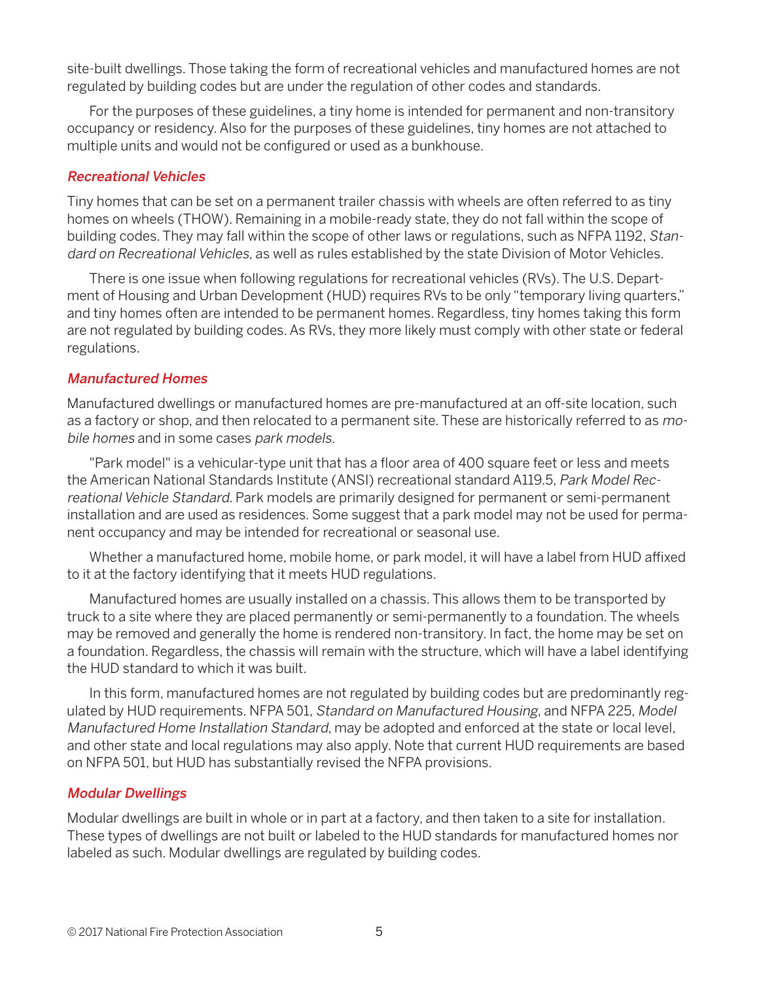site-built dwellings. Those taking the form of recreational vehicles and manufactured homes are not regulated by building codes but are under the regulation of other codes and standards.

For the purposes of these guidelines, a tiny home is intended for permanent and non-transitory occupancy or residency. Also for the purposes of these guidelines, tiny homes are not attached to multiple units and would not be configured or used as a bunkhouse.

#### Recreational Vehicles

Tiny homes that can be set on a permanent trailer chassis with wheels are often referred to as tiny homes on wheels (THOW). Remaining in a mobile-ready state, they do not fall within the scope of building codes. They may fall within the scope of other laws or regulations, such as NFPA 1192, Standard on Recreational Vehicles, as well as rules established by the state Division of Motor Vehicles.

There is one issue when following regulations for recreational vehicles (RVs). The U.S. Department of Housing and Urban Development (HUD) requires RVs to be only "temporary living quarters," and tiny homes often are intended to be permanent homes. Regardless, tiny homes taking this form are not regulated by building codes. As RVs, they more likely must comply with other state or federal regulations.

#### Manufactured Homes

Manufactured dwellings or manufactured homes are pre-manufactured at an off-site location, such as a factory or shop, and then relocated to a permanent site. These are historically referred to as mobile homes and in some cases park models.

"Park model" is a vehicular-type unit that has a floor area of 400 square feet or less and meets the American National Standards Institute (ANSI) recreational standard A119.5, Park Model Recreational Vehicle Standard. Park models are primarily designed for permanent or semi-permanent installation and are used as residences. Some suggest that a park model may not be used for permanent occupancy and may be intended for recreational or seasonal use.

Whether a manufactured home, mobile home, or park model, it will have a label from HUD affixed to it at the factory identifying that it meets HUD regulations.

Manufactured homes are usually installed on a chassis. This allows them to be transported by truck to a site where they are placed permanently or semi-permanently to a foundation. The wheels may be removed and generally the home is rendered non-transitory. In fact, the home may be set on a foundation. Regardless, the chassis will remain with the structure, which will have a label identifying the HUD standard to which it was built.

In this form, manufactured homes are not regulated by building codes but are predominantly regulated by HUD requirements. NFPA 501, Standard on Manufactured Housing, and NFPA 225, Model Manufactured Home Installation Standard, may be adopted and enforced at the state or local level, and other state and local regulations may also apply. Note that current HUD requirements are based on NFPA 501, but HUD has substantially revised the NFPA provisions.

#### Modular Dwellings

Modular dwellings are built in whole or in part at a factory, and then taken to a site for installation. These types of dwellings are not built or labeled to the HUD standards for manufactured homes nor labeled as such. Modular dwellings are regulated by building codes.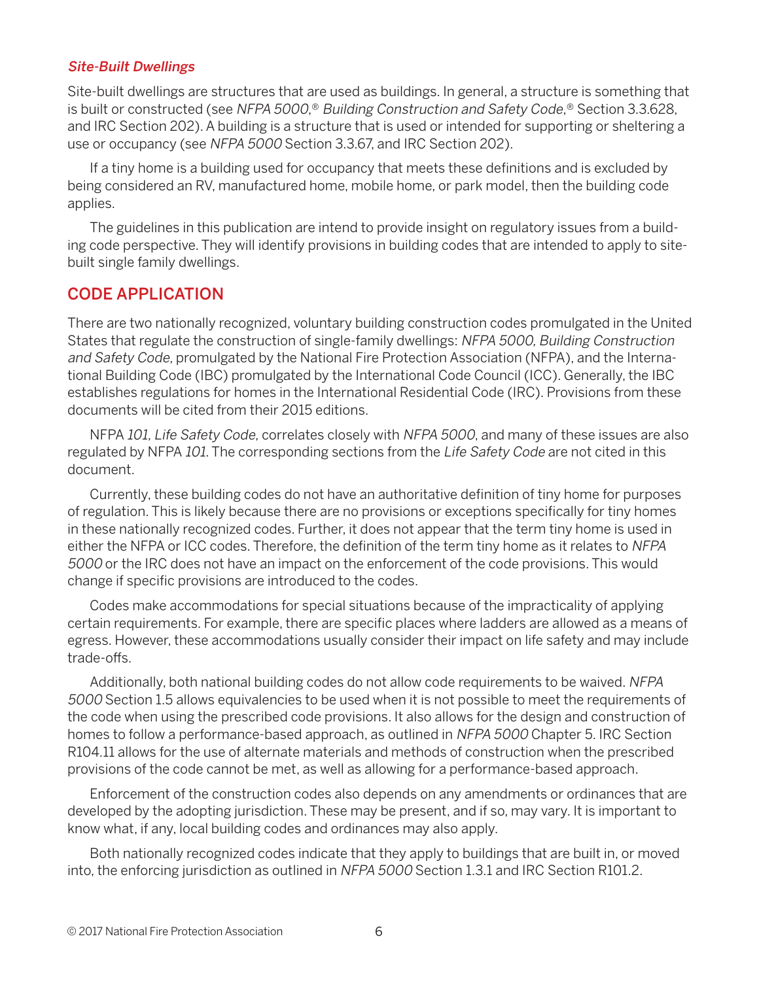#### Site-Built Dwellings

Site-built dwellings are structures that are used as buildings. In general, a structure is something that is built or constructed (see NFPA 5000,® Building Construction and Safety Code,® Section 3.3.628, and IRC Section 202). A building is a structure that is used or intended for supporting or sheltering a use or occupancy (see NFPA 5000 Section 3.3.67, and IRC Section 202).

If a tiny home is a building used for occupancy that meets these definitions and is excluded by being considered an RV, manufactured home, mobile home, or park model, then the building code applies.

The guidelines in this publication are intend to provide insight on regulatory issues from a building code perspective. They will identify provisions in building codes that are intended to apply to sitebuilt single family dwellings.

## CODE APPLICATION

There are two nationally recognized, voluntary building construction codes promulgated in the United States that regulate the construction of single-family dwellings: NFPA 5000, Building Construction and Safety Code, promulgated by the National Fire Protection Association (NFPA), and the International Building Code (IBC) promulgated by the International Code Council (ICC). Generally, the IBC establishes regulations for homes in the International Residential Code (IRC). Provisions from these documents will be cited from their 2015 editions.

NFPA 101, Life Safety Code, correlates closely with NFPA 5000, and many of these issues are also regulated by NFPA 101. The corresponding sections from the Life Safety Code are not cited in this document.

Currently, these building codes do not have an authoritative definition of tiny home for purposes of regulation. This is likely because there are no provisions or exceptions specifically for tiny homes in these nationally recognized codes. Further, it does not appear that the term tiny home is used in either the NFPA or ICC codes. Therefore, the definition of the term tiny home as it relates to NFPA 5000 or the IRC does not have an impact on the enforcement of the code provisions. This would change if specific provisions are introduced to the codes.

Codes make accommodations for special situations because of the impracticality of applying certain requirements. For example, there are specific places where ladders are allowed as a means of egress. However, these accommodations usually consider their impact on life safety and may include trade-offs.

Additionally, both national building codes do not allow code requirements to be waived. NFPA 5000 Section 1.5 allows equivalencies to be used when it is not possible to meet the requirements of the code when using the prescribed code provisions. It also allows for the design and construction of homes to follow a performance-based approach, as outlined in NFPA 5000 Chapter 5. IRC Section R104.11 allows for the use of alternate materials and methods of construction when the prescribed provisions of the code cannot be met, as well as allowing for a performance-based approach.

Enforcement of the construction codes also depends on any amendments or ordinances that are developed by the adopting jurisdiction. These may be present, and if so, may vary. It is important to know what, if any, local building codes and ordinances may also apply.

Both nationally recognized codes indicate that they apply to buildings that are built in, or moved into, the enforcing jurisdiction as outlined in NFPA 5000 Section 1.3.1 and IRC Section R101.2.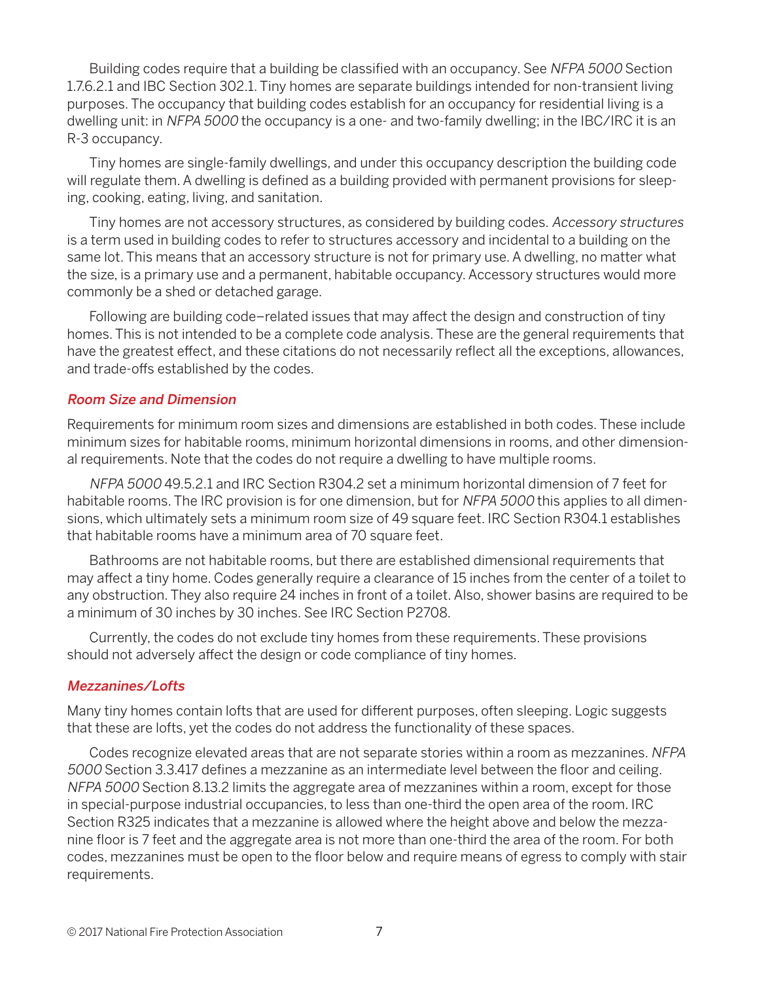Building codes require that a building be classified with an occupancy. See NFPA 5000 Section 1.7.6.2.1 and IBC Section 302.1. Tiny homes are separate buildings intended for non-transient living purposes. The occupancy that building codes establish for an occupancy for residential living is a dwelling unit: in NFPA 5000 the occupancy is a one- and two-family dwelling; in the IBC/IRC it is an R-3 occupancy.

Tiny homes are single-family dwellings, and under this occupancy description the building code will regulate them. A dwelling is defined as a building provided with permanent provisions for sleeping, cooking, eating, living, and sanitation.

Tiny homes are not accessory structures, as considered by building codes. Accessory structures is a term used in building codes to refer to structures accessory and incidental to a building on the same lot. This means that an accessory structure is not for primary use. A dwelling, no matter what the size, is a primary use and a permanent, habitable occupancy. Accessory structures would more commonly be a shed or detached garage.

Following are building code–related issues that may affect the design and construction of tiny homes. This is not intended to be a complete code analysis. These are the general requirements that have the greatest effect, and these citations do not necessarily reflect all the exceptions, allowances, and trade-offs established by the codes.

#### Room Size and Dimension

Requirements for minimum room sizes and dimensions are established in both codes. These include minimum sizes for habitable rooms, minimum horizontal dimensions in rooms, and other dimensional requirements. Note that the codes do not require a dwelling to have multiple rooms.

NFPA 5000 49.5.2.1 and IRC Section R304.2 set a minimum horizontal dimension of 7 feet for habitable rooms. The IRC provision is for one dimension, but for NFPA 5000 this applies to all dimensions, which ultimately sets a minimum room size of 49 square feet. IRC Section R304.1 establishes that habitable rooms have a minimum area of 70 square feet.

Bathrooms are not habitable rooms, but there are established dimensional requirements that may affect a tiny home. Codes generally require a clearance of 15 inches from the center of a toilet to any obstruction. They also require 24 inches in front of a toilet. Also, shower basins are required to be a minimum of 30 inches by 30 inches. See IRC Section P2708.

Currently, the codes do not exclude tiny homes from these requirements. These provisions should not adversely affect the design or code compliance of tiny homes.

#### Mezzanines/Lofts

Many tiny homes contain lofts that are used for different purposes, often sleeping. Logic suggests that these are lofts, yet the codes do not address the functionality of these spaces.

Codes recognize elevated areas that are not separate stories within a room as mezzanines. NFPA 5000 Section 3.3.417 defines a mezzanine as an intermediate level between the floor and ceiling. NFPA 5000 Section 8.13.2 limits the aggregate area of mezzanines within a room, except for those in special-purpose industrial occupancies, to less than one-third the open area of the room. IRC Section R325 indicates that a mezzanine is allowed where the height above and below the mezzanine floor is 7 feet and the aggregate area is not more than one-third the area of the room. For both codes, mezzanines must be open to the floor below and require means of egress to comply with stair requirements.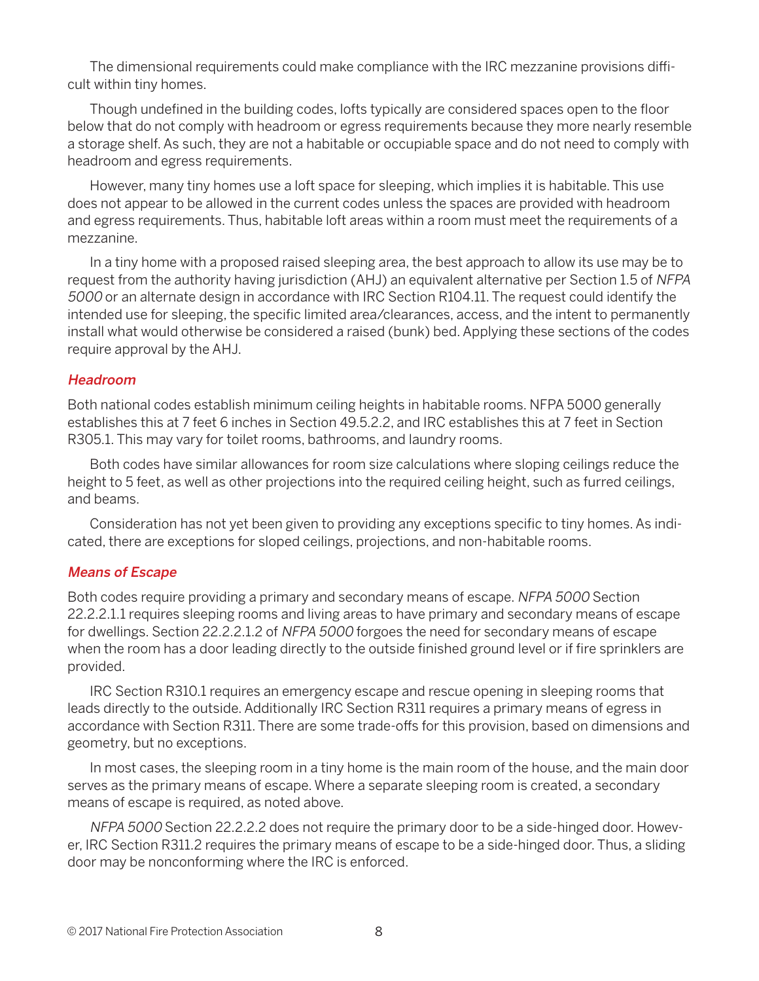The dimensional requirements could make compliance with the IRC mezzanine provisions difficult within tiny homes.

Though undefined in the building codes, lofts typically are considered spaces open to the floor below that do not comply with headroom or egress requirements because they more nearly resemble a storage shelf. As such, they are not a habitable or occupiable space and do not need to comply with headroom and egress requirements.

However, many tiny homes use a loft space for sleeping, which implies it is habitable. This use does not appear to be allowed in the current codes unless the spaces are provided with headroom and egress requirements. Thus, habitable loft areas within a room must meet the requirements of a mezzanine.

In a tiny home with a proposed raised sleeping area, the best approach to allow its use may be to request from the authority having jurisdiction (AHJ) an equivalent alternative per Section 1.5 of NFPA 5000 or an alternate design in accordance with IRC Section R104.11. The request could identify the intended use for sleeping, the specific limited area/clearances, access, and the intent to permanently install what would otherwise be considered a raised (bunk) bed. Applying these sections of the codes require approval by the AHJ.

#### Headroom

Both national codes establish minimum ceiling heights in habitable rooms. NFPA 5000 generally establishes this at 7 feet 6 inches in Section 49.5.2.2, and IRC establishes this at 7 feet in Section R305.1. This may vary for toilet rooms, bathrooms, and laundry rooms.

Both codes have similar allowances for room size calculations where sloping ceilings reduce the height to 5 feet, as well as other projections into the required ceiling height, such as furred ceilings, and beams.

Consideration has not yet been given to providing any exceptions specific to tiny homes. As indicated, there are exceptions for sloped ceilings, projections, and non-habitable rooms.

#### Means of Escape

Both codes require providing a primary and secondary means of escape. NFPA 5000 Section 22.2.2.1.1 requires sleeping rooms and living areas to have primary and secondary means of escape for dwellings. Section 22.2.2.1.2 of NFPA 5000 forgoes the need for secondary means of escape when the room has a door leading directly to the outside finished ground level or if fire sprinklers are provided.

IRC Section R310.1 requires an emergency escape and rescue opening in sleeping rooms that leads directly to the outside. Additionally IRC Section R311 requires a primary means of egress in accordance with Section R311. There are some trade-offs for this provision, based on dimensions and geometry, but no exceptions.

In most cases, the sleeping room in a tiny home is the main room of the house, and the main door serves as the primary means of escape. Where a separate sleeping room is created, a secondary means of escape is required, as noted above.

NFPA 5000 Section 22.2.2.2 does not require the primary door to be a side-hinged door. However, IRC Section R311.2 requires the primary means of escape to be a side-hinged door. Thus, a sliding door may be nonconforming where the IRC is enforced.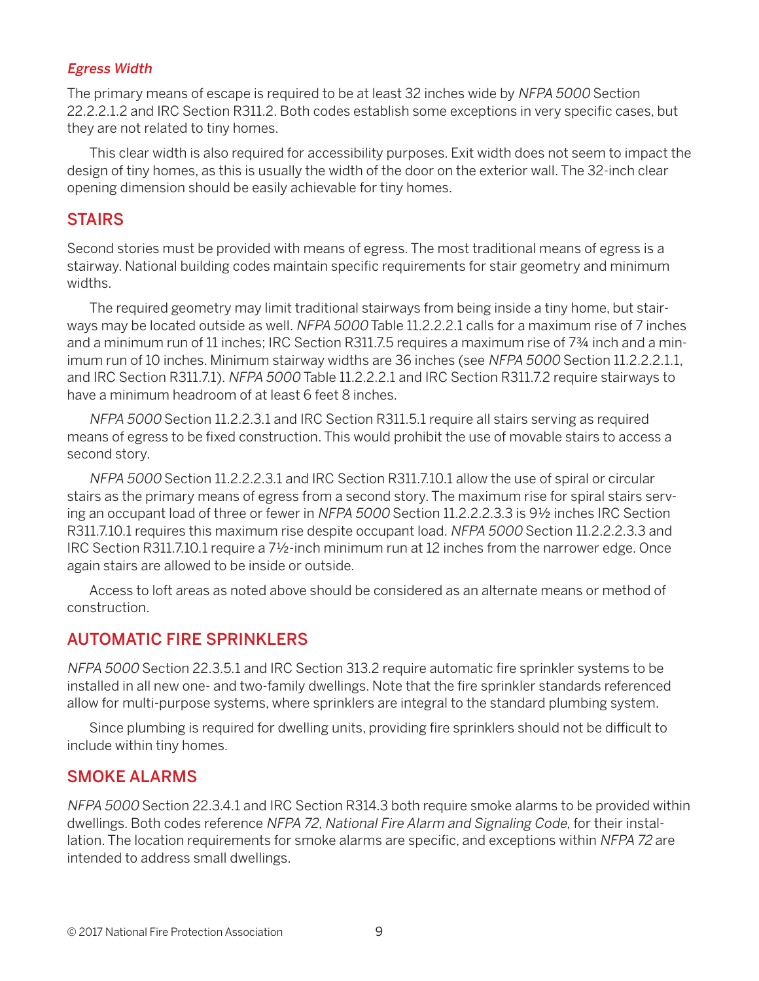### Egress Width

The primary means of escape is required to be at least 32 inches wide by NFPA 5000 Section 22.2.2.1.2 and IRC Section R311.2. Both codes establish some exceptions in very specific cases, but they are not related to tiny homes.

This clear width is also required for accessibility purposes. Exit width does not seem to impact the design of tiny homes, as this is usually the width of the door on the exterior wall. The 32-inch clear opening dimension should be easily achievable for tiny homes.

## **STAIRS**

Second stories must be provided with means of egress. The most traditional means of egress is a stairway. National building codes maintain specific requirements for stair geometry and minimum widths.

The required geometry may limit traditional stairways from being inside a tiny home, but stairways may be located outside as well. NFPA 5000 Table 11.2.2.2.1 calls for a maximum rise of 7 inches and a minimum run of 11 inches; IRC Section R311.7.5 requires a maximum rise of 7¾ inch and a minimum run of 10 inches. Minimum stairway widths are 36 inches (see NFPA 5000 Section 11.2.2.2.1.1, and IRC Section R311.7.1). NFPA 5000 Table 11.2.2.2.1 and IRC Section R311.7.2 require stairways to have a minimum headroom of at least 6 feet 8 inches.

NFPA 5000 Section 11.2.2.3.1 and IRC Section R311.5.1 require all stairs serving as required means of egress to be fixed construction. This would prohibit the use of movable stairs to access a second story.

NFPA 5000 Section 11.2.2.2.3.1 and IRC Section R311.7.10.1 allow the use of spiral or circular stairs as the primary means of egress from a second story. The maximum rise for spiral stairs serving an occupant load of three or fewer in NFPA 5000 Section 11.2.2.2.3.3 is 9½ inches IRC Section R311.7.10.1 requires this maximum rise despite occupant load. NFPA 5000 Section 11.2.2.2.3.3 and IRC Section R311.7.10.1 require a 7½-inch minimum run at 12 inches from the narrower edge. Once again stairs are allowed to be inside or outside.

Access to loft areas as noted above should be considered as an alternate means or method of construction.

## AUTOMATIC FIRE SPRINKLERS

NFPA 5000 Section 22.3.5.1 and IRC Section 313.2 require automatic fire sprinkler systems to be installed in all new one- and two-family dwellings. Note that the fire sprinkler standards referenced allow for multi-purpose systems, where sprinklers are integral to the standard plumbing system.

Since plumbing is required for dwelling units, providing fire sprinklers should not be difficult to include within tiny homes.

## SMOKE ALARMS

NFPA 5000 Section 22.3.4.1 and IRC Section R314.3 both require smoke alarms to be provided within dwellings. Both codes reference NFPA 72, National Fire Alarm and Signaling Code, for their installation. The location requirements for smoke alarms are specific, and exceptions within NFPA 72 are intended to address small dwellings.